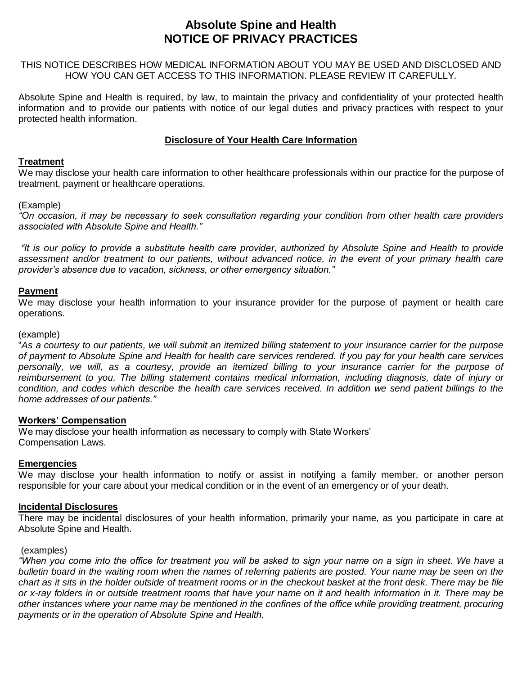# **Absolute Spine and Health NOTICE OF PRIVACY PRACTICES**

THIS NOTICE DESCRIBES HOW MEDICAL INFORMATION ABOUT YOU MAY BE USED AND DISCLOSED AND HOW YOU CAN GET ACCESS TO THIS INFORMATION. PLEASE REVIEW IT CAREFULLY.

Absolute Spine and Health is required, by law, to maintain the privacy and confidentiality of your protected health information and to provide our patients with notice of our legal duties and privacy practices with respect to your protected health information.

## **Disclosure of Your Health Care Information**

#### **Treatment**

We may disclose your health care information to other healthcare professionals within our practice for the purpose of treatment, payment or healthcare operations.

#### (Example)

*"On occasion, it may be necessary to seek consultation regarding your condition from other health care providers associated with Absolute Spine and Health."*

*"It is our policy to provide a substitute health care provider, authorized by Absolute Spine and Health to provide assessment and/or treatment to our patients, without advanced notice, in the event of your primary health care provider's absence due to vacation, sickness, or other emergency situation."*

#### **Payment**

We may disclose your health information to your insurance provider for the purpose of payment or health care operations.

#### (example)

"*As a courtesy to our patients, we will submit an itemized billing statement to your insurance carrier for the purpose of payment to Absolute Spine and Health for health care services rendered. If you pay for your health care services personally, we will, as a courtesy, provide an itemized billing to your insurance carrier for the purpose of reimbursement to you. The billing statement contains medical information, including diagnosis, date of injury or condition, and codes which describe the health care services received. In addition we send patient billings to the home addresses of our patients."*

#### **Workers' Compensation**

We may disclose your health information as necessary to comply with State Workers' Compensation Laws.

#### **Emergencies**

We may disclose your health information to notify or assist in notifying a family member, or another person responsible for your care about your medical condition or in the event of an emergency or of your death.

#### **Incidental Disclosures**

There may be incidental disclosures of your health information, primarily your name, as you participate in care at Absolute Spine and Health.

#### (examples)

*"When you come into the office for treatment you will be asked to sign your name on a sign in sheet. We have a bulletin board in the waiting room when the names of referring patients are posted. Your name may be seen on the chart as it sits in the holder outside of treatment rooms or in the checkout basket at the front desk. There may be file or x-ray folders in or outside treatment rooms that have your name on it and health information in it. There may be other instances where your name may be mentioned in the confines of the office while providing treatment, procuring payments or in the operation of Absolute Spine and Health.*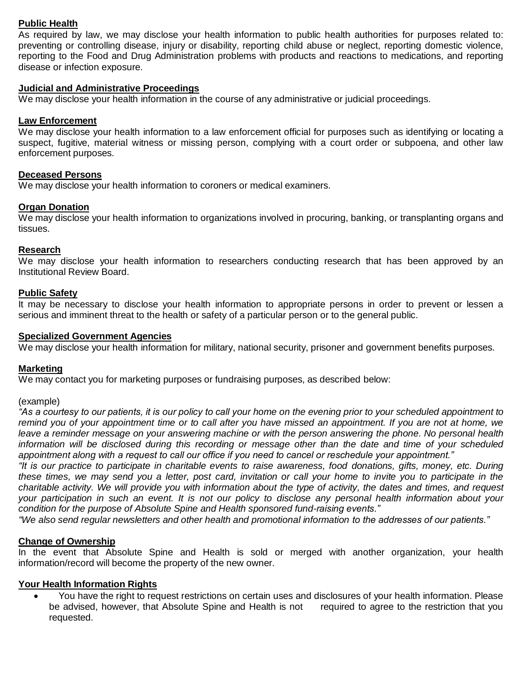# **Public Health**

As required by law, we may disclose your health information to public health authorities for purposes related to: preventing or controlling disease, injury or disability, reporting child abuse or neglect, reporting domestic violence, reporting to the Food and Drug Administration problems with products and reactions to medications, and reporting disease or infection exposure.

## **Judicial and Administrative Proceedings**

We may disclose your health information in the course of any administrative or judicial proceedings.

#### **Law Enforcement**

We may disclose your health information to a law enforcement official for purposes such as identifying or locating a suspect, fugitive, material witness or missing person, complying with a court order or subpoena, and other law enforcement purposes.

#### **Deceased Persons**

We may disclose your health information to coroners or medical examiners.

#### **Organ Donation**

We may disclose your health information to organizations involved in procuring, banking, or transplanting organs and tissues.

#### **Research**

We may disclose your health information to researchers conducting research that has been approved by an Institutional Review Board.

#### **Public Safety**

It may be necessary to disclose your health information to appropriate persons in order to prevent or lessen a serious and imminent threat to the health or safety of a particular person or to the general public.

#### **Specialized Government Agencies**

We may disclose your health information for military, national security, prisoner and government benefits purposes.

#### **Marketing**

We may contact you for marketing purposes or fundraising purposes, as described below:

#### (example)

*"As a courtesy to our patients, it is our policy to call your home on the evening prior to your scheduled appointment to remind you of your appointment time or to call after you have missed an appointment. If you are not at home, we leave a reminder message on your answering machine or with the person answering the phone. No personal health information will be disclosed during this recording or message other than the date and time of your scheduled appointment along with a request to call our office if you need to cancel or reschedule your appointment."*

*"It is our practice to participate in charitable events to raise awareness, food donations, gifts, money, etc. During these times, we may send you a letter, post card, invitation or call your home to invite you to participate in the charitable activity. We will provide you with information about the type of activity, the dates and times, and request your participation in such an event. It is not our policy to disclose any personal health information about your condition for the purpose of Absolute Spine and Health sponsored fund-raising events."*

*"We also send regular newsletters and other health and promotional information to the addresses of our patients."*

#### **Change of Ownership**

In the event that Absolute Spine and Health is sold or merged with another organization, your health information/record will become the property of the new owner.

## **Your Health Information Rights**

 You have the right to request restrictions on certain uses and disclosures of your health information. Please be advised, however, that Absolute Spine and Health is not required to agree to the restriction that you requested.